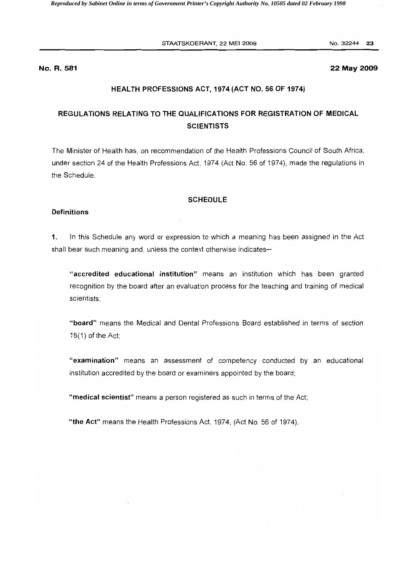STAATSKOERANT, 22 **MEl** 2009 No.32244 **23** 

#### **No. R. 581 22 May 2009**

### **HEALTH PROFESSIONS ACT, 1974 (ACT NO. 56 OF 1974)**

# **REGULATIONS RELATING TO THE QUALIFICATIONS FOR REGISTRATION OF MEDICAL SCIENTISTS**

The Minister of Health has, on recommendation of the Health Professions Council of South Africa, under section 24 of the Health Professions Act, 1974 (Act No. 56 of 1974), made the regulations in the Schedule.

#### **SCHEDULE**

#### **Definitions**

**1.** In this Schedule any word or expression to which a meaning has been assigned in the Act shall bear such meaning and, unless the context otherwise indicates

**"accredited educational institution"** means an institution which has been granted recognition by the board after an evaluation process for the teaching and training of medical scientists;

**"board"** means the Medical and Dental Professions Board established in terms of section  $15(1)$  of the Act;

**"examination"** means an assessment of competency conducted by an educational institution accredited by the board or examiners appointed by the board;

**"medical scientist"** means a person registered as such in terms of the Act;

**"the Act"** means the Health Professions Act, 1974, (Act No. 56 of 1974).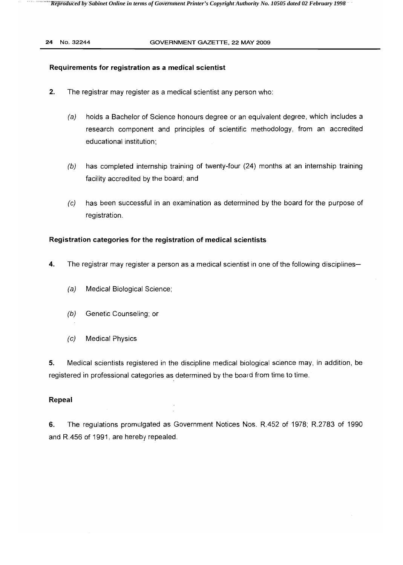*Reproduced by Sabinet Online in terms of Government Printer's Copyright Authority No. 10505 dated 02 February 1998* 

#### **24** NO.32244 GOVERNMENT GAZETTE, 22 MAY 2009

## **Requirements for registration as a medical scientist**

- **2.** The registrar may register as a medical scientist any person who:
	- (a) holds a Bachelor of Science honours degree or an equivalent degree, which includes a research component and principles of scientific methodology, from an accredited educational institution;
	- (b) has completed internship training of twenty-four (24) months at an internship training facility accredited by the board; and
	- $(c)$  has been successful in an examination as determined by the board for the purpose of registration.

## **Registration categories for the registration of medical scientists**

- **4.** The registrar may register a person as a medical scientist in one of the following disciplines-
	- (a) Medical Biological Science;
	- (b) Genetic Counseling; or
	- (e) Medical Physics

5. Medical scientists registered in the discipline medical biological science may, in addition, be registered in professional categories as determined by the board from time to time.

# **Repeal**

6. The regulations promulgated as Government Notices Nos. R.452 of 1978; R.2783 of 1990 and R.456 of 1991, are hereby repealed.